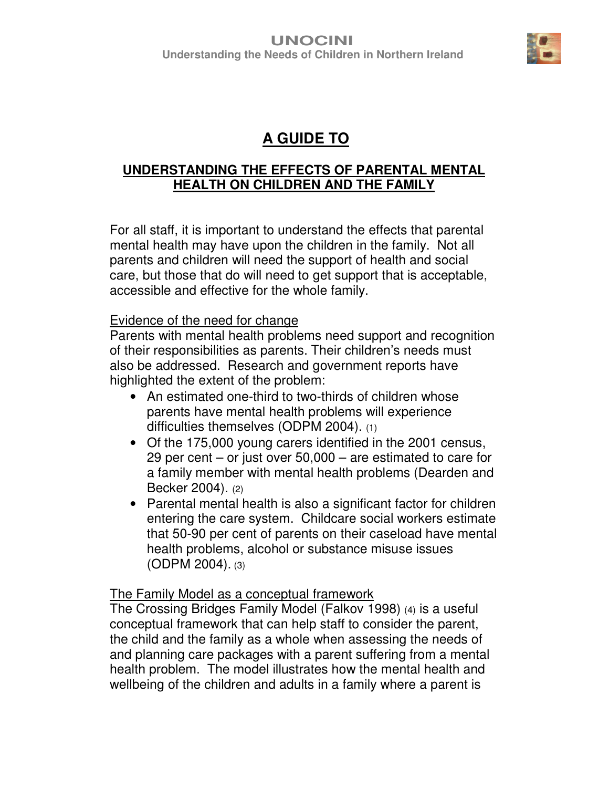

# **A GUIDE TO**

### **UNDERSTANDING THE EFFECTS OF PARENTAL MENTAL HEALTH ON CHILDREN AND THE FAMILY**

For all staff, it is important to understand the effects that parental mental health may have upon the children in the family. Not all parents and children will need the support of health and social care, but those that do will need to get support that is acceptable, accessible and effective for the whole family.

#### Evidence of the need for change

Parents with mental health problems need support and recognition of their responsibilities as parents. Their children's needs must also be addressed. Research and government reports have highlighted the extent of the problem:

- An estimated one-third to two-thirds of children whose parents have mental health problems will experience difficulties themselves (ODPM 2004). (1)
- Of the 175,000 young carers identified in the 2001 census, 29 per cent – or just over 50,000 – are estimated to care for a family member with mental health problems (Dearden and Becker 2004). (2)
- Parental mental health is also a significant factor for children entering the care system. Childcare social workers estimate that 50-90 per cent of parents on their caseload have mental health problems, alcohol or substance misuse issues (ODPM 2004). (3)

#### The Family Model as a conceptual framework

The Crossing Bridges Family Model (Falkov 1998) (4) is a useful conceptual framework that can help staff to consider the parent, the child and the family as a whole when assessing the needs of and planning care packages with a parent suffering from a mental health problem. The model illustrates how the mental health and wellbeing of the children and adults in a family where a parent is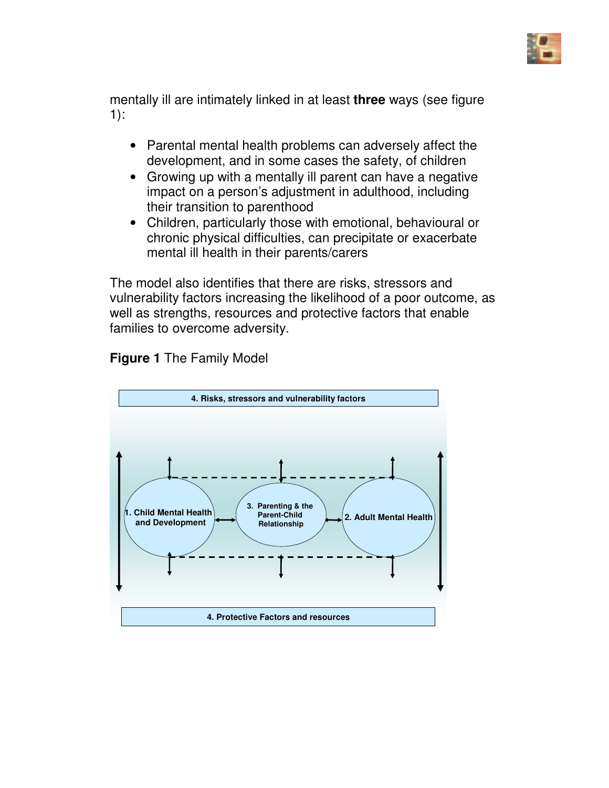

mentally ill are intimately linked in at least **three** ways (see figure 1):

- Parental mental health problems can adversely affect the development, and in some cases the safety, of children
- Growing up with a mentally ill parent can have a negative impact on a person's adjustment in adulthood, including their transition to parenthood
- Children, particularly those with emotional, behavioural or chronic physical difficulties, can precipitate or exacerbate mental ill health in their parents/carers

The model also identifies that there are risks, stressors and vulnerability factors increasing the likelihood of a poor outcome, as well as strengths, resources and protective factors that enable families to overcome adversity.



**Figure 1** The Family Model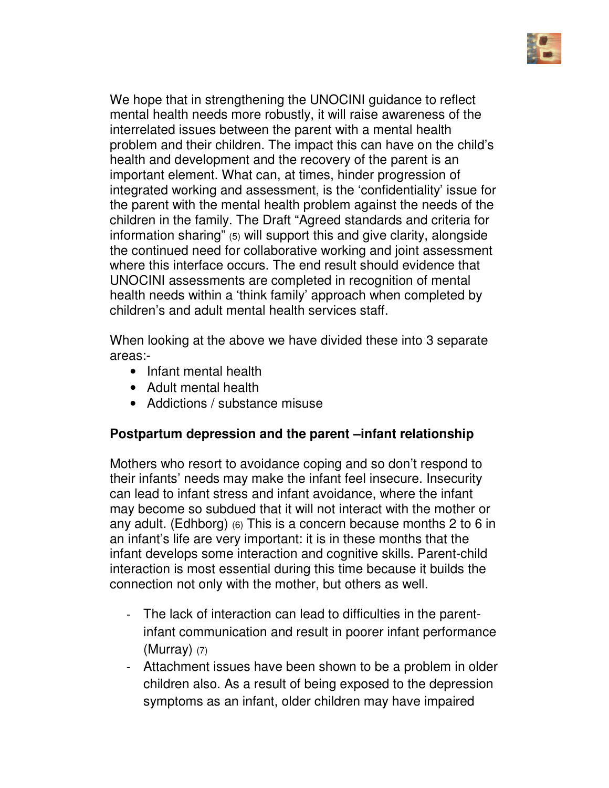

We hope that in strengthening the UNOCINI guidance to reflect mental health needs more robustly, it will raise awareness of the interrelated issues between the parent with a mental health problem and their children. The impact this can have on the child's health and development and the recovery of the parent is an important element. What can, at times, hinder progression of integrated working and assessment, is the 'confidentiality' issue for the parent with the mental health problem against the needs of the children in the family. The Draft "Agreed standards and criteria for information sharing" (5) will support this and give clarity, alongside the continued need for collaborative working and joint assessment where this interface occurs. The end result should evidence that UNOCINI assessments are completed in recognition of mental health needs within a 'think family' approach when completed by children's and adult mental health services staff.

When looking at the above we have divided these into 3 separate areas:-

- Infant mental health
- Adult mental health
- Addictions / substance misuse

# **Postpartum depression and the parent –infant relationship**

Mothers who resort to avoidance coping and so don't respond to their infants' needs may make the infant feel insecure. Insecurity can lead to infant stress and infant avoidance, where the infant may become so subdued that it will not interact with the mother or any adult. (Edhborg) (6) This is a concern because months 2 to 6 in an infant's life are very important: it is in these months that the infant develops some interaction and cognitive skills. Parent-child interaction is most essential during this time because it builds the connection not only with the mother, but others as well.

- The lack of interaction can lead to difficulties in the parentinfant communication and result in poorer infant performance  $(Murray)$  (7)
- Attachment issues have been shown to be a problem in older children also. As a result of being exposed to the depression symptoms as an infant, older children may have impaired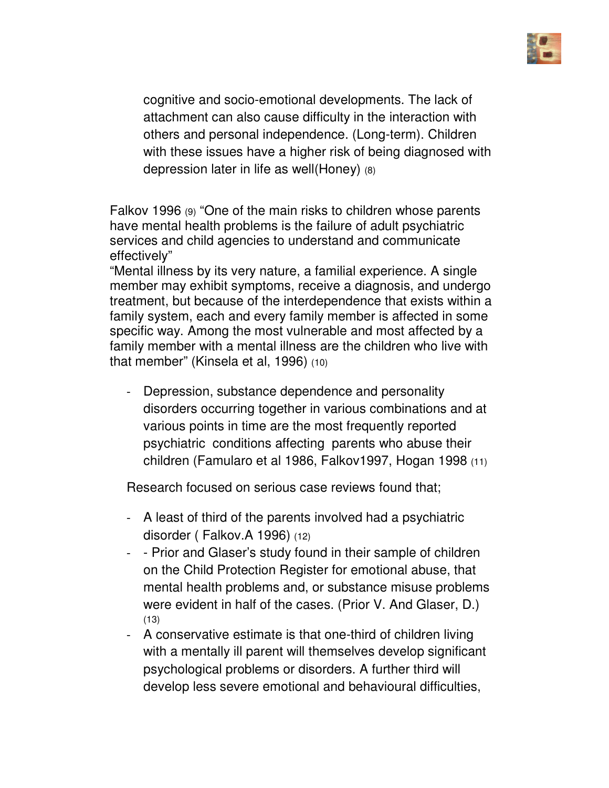

cognitive and socio-emotional developments. The lack of attachment can also cause difficulty in the interaction with others and personal independence. (Long-term). Children with these issues have a higher risk of being diagnosed with depression later in life as well(Honey) (8)

Falkov 1996 (9) "One of the main risks to children whose parents have mental health problems is the failure of adult psychiatric services and child agencies to understand and communicate effectively"

"Mental illness by its very nature, a familial experience. A single member may exhibit symptoms, receive a diagnosis, and undergo treatment, but because of the interdependence that exists within a family system, each and every family member is affected in some specific way. Among the most vulnerable and most affected by a family member with a mental illness are the children who live with that member" (Kinsela et al, 1996) (10)

- Depression, substance dependence and personality disorders occurring together in various combinations and at various points in time are the most frequently reported psychiatric conditions affecting parents who abuse their children (Famularo et al 1986, Falkov1997, Hogan 1998 (11)

Research focused on serious case reviews found that;

- A least of third of the parents involved had a psychiatric disorder ( Falkov.A 1996) (12)
- - Prior and Glaser's study found in their sample of children on the Child Protection Register for emotional abuse, that mental health problems and, or substance misuse problems were evident in half of the cases. (Prior V. And Glaser, D.) (13)
- A conservative estimate is that one-third of children living with a mentally ill parent will themselves develop significant psychological problems or disorders. A further third will develop less severe emotional and behavioural difficulties,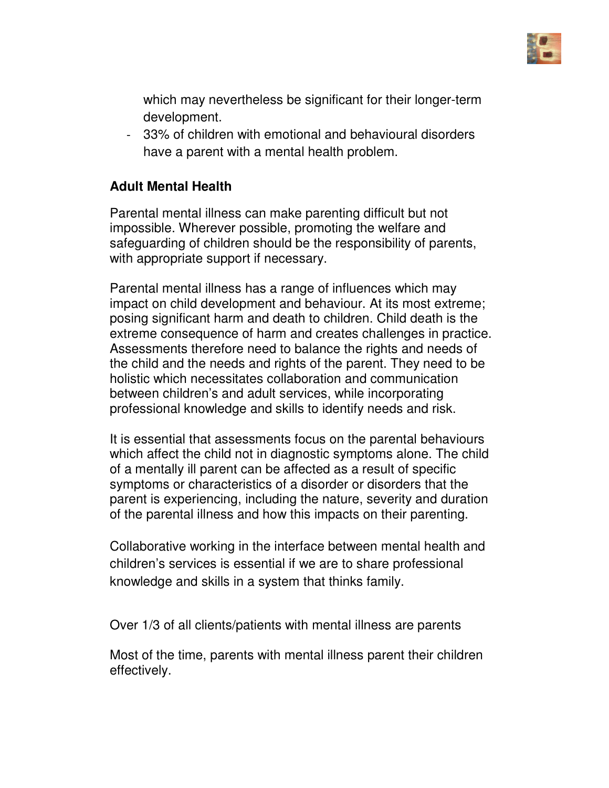

which may nevertheless be significant for their longer-term development.

- 33% of children with emotional and behavioural disorders have a parent with a mental health problem.

### **Adult Mental Health**

Parental mental illness can make parenting difficult but not impossible. Wherever possible, promoting the welfare and safeguarding of children should be the responsibility of parents, with appropriate support if necessary.

Parental mental illness has a range of influences which may impact on child development and behaviour. At its most extreme; posing significant harm and death to children. Child death is the extreme consequence of harm and creates challenges in practice. Assessments therefore need to balance the rights and needs of the child and the needs and rights of the parent. They need to be holistic which necessitates collaboration and communication between children's and adult services, while incorporating professional knowledge and skills to identify needs and risk.

It is essential that assessments focus on the parental behaviours which affect the child not in diagnostic symptoms alone. The child of a mentally ill parent can be affected as a result of specific symptoms or characteristics of a disorder or disorders that the parent is experiencing, including the nature, severity and duration of the parental illness and how this impacts on their parenting.

Collaborative working in the interface between mental health and children's services is essential if we are to share professional knowledge and skills in a system that thinks family.

Over 1/3 of all clients/patients with mental illness are parents

Most of the time, parents with mental illness parent their children effectively.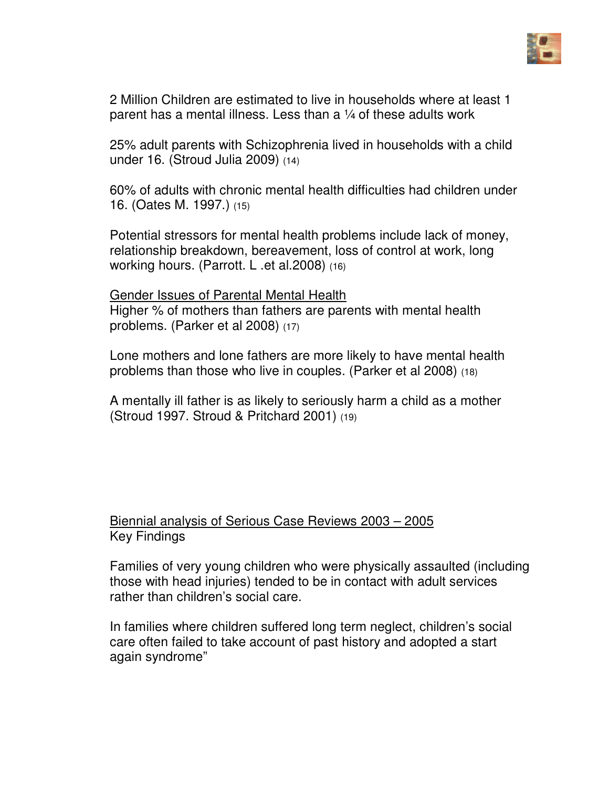

2 Million Children are estimated to live in households where at least 1 parent has a mental illness. Less than a ¼ of these adults work

25% adult parents with Schizophrenia lived in households with a child under 16. (Stroud Julia 2009) (14)

60% of adults with chronic mental health difficulties had children under 16. (Oates M. 1997.) (15)

Potential stressors for mental health problems include lack of money, relationship breakdown, bereavement, loss of control at work, long working hours. (Parrott. L .et al.2008) (16)

Gender Issues of Parental Mental Health Higher % of mothers than fathers are parents with mental health problems. (Parker et al 2008) (17)

Lone mothers and lone fathers are more likely to have mental health problems than those who live in couples. (Parker et al 2008) (18)

A mentally ill father is as likely to seriously harm a child as a mother (Stroud 1997. Stroud & Pritchard 2001) (19)

# Biennial analysis of Serious Case Reviews 2003 – 2005 Key Findings

Families of very young children who were physically assaulted (including those with head injuries) tended to be in contact with adult services rather than children's social care.

In families where children suffered long term neglect, children's social care often failed to take account of past history and adopted a start again syndrome"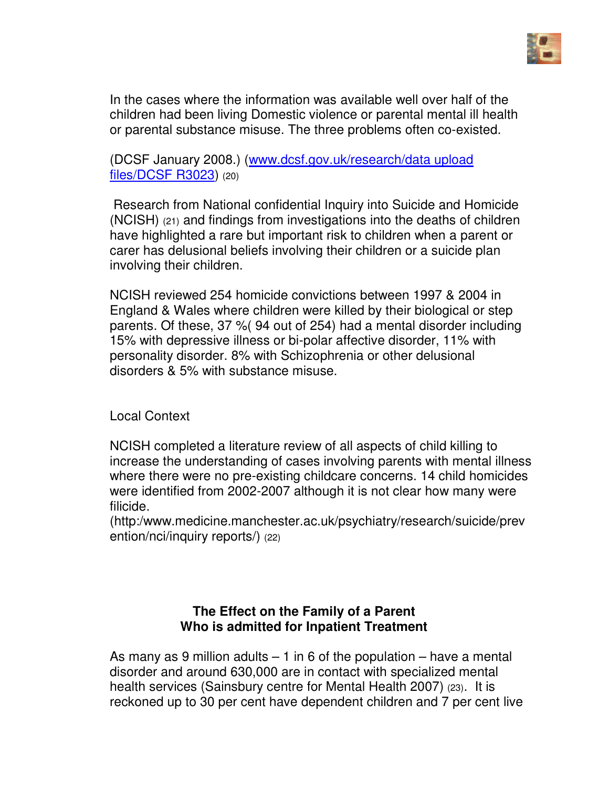

In the cases where the information was available well over half of the children had been living Domestic violence or parental mental ill health or parental substance misuse. The three problems often co-existed.

(DCSF January 2008.) (www.dcsf.gov.uk/research/data upload files/DCSF R3023) (20)

 Research from National confidential Inquiry into Suicide and Homicide (NCISH) (21) and findings from investigations into the deaths of children have highlighted a rare but important risk to children when a parent or carer has delusional beliefs involving their children or a suicide plan involving their children.

NCISH reviewed 254 homicide convictions between 1997 & 2004 in England & Wales where children were killed by their biological or step parents. Of these, 37 %( 94 out of 254) had a mental disorder including 15% with depressive illness or bi-polar affective disorder, 11% with personality disorder. 8% with Schizophrenia or other delusional disorders & 5% with substance misuse.

Local Context

NCISH completed a literature review of all aspects of child killing to increase the understanding of cases involving parents with mental illness where there were no pre-existing childcare concerns. 14 child homicides were identified from 2002-2007 although it is not clear how many were filicide.

(http:/www.medicine.manchester.ac.uk/psychiatry/research/suicide/prev ention/nci/inquiry reports/) (22)

#### **The Effect on the Family of a Parent Who is admitted for Inpatient Treatment**

As many as 9 million adults  $-1$  in 6 of the population  $-$  have a mental disorder and around 630,000 are in contact with specialized mental health services (Sainsbury centre for Mental Health 2007) (23). It is reckoned up to 30 per cent have dependent children and 7 per cent live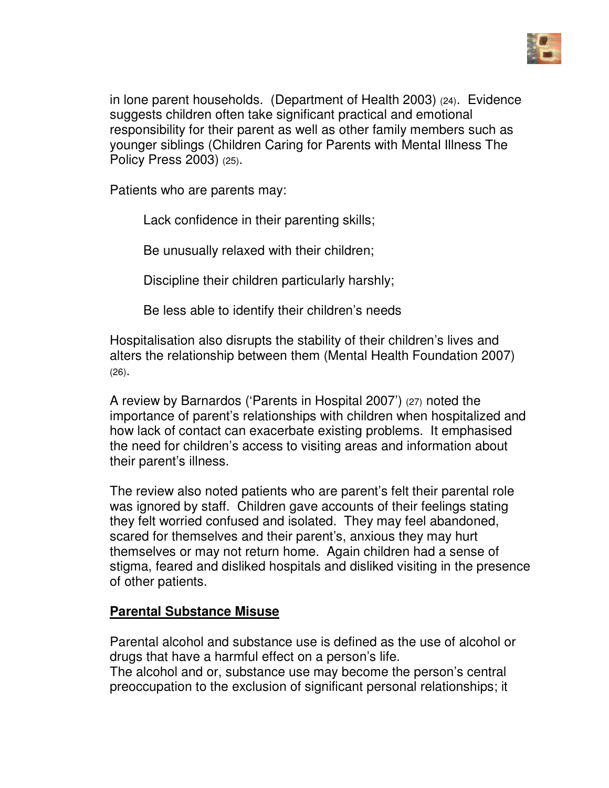

in lone parent households. (Department of Health 2003) (24). Evidence suggests children often take significant practical and emotional responsibility for their parent as well as other family members such as younger siblings (Children Caring for Parents with Mental Illness The Policy Press 2003) (25).

Patients who are parents may:

Lack confidence in their parenting skills;

Be unusually relaxed with their children;

Discipline their children particularly harshly;

Be less able to identify their children's needs

Hospitalisation also disrupts the stability of their children's lives and alters the relationship between them (Mental Health Foundation 2007) (26).

A review by Barnardos ('Parents in Hospital 2007') (27) noted the importance of parent's relationships with children when hospitalized and how lack of contact can exacerbate existing problems. It emphasised the need for children's access to visiting areas and information about their parent's illness.

The review also noted patients who are parent's felt their parental role was ignored by staff. Children gave accounts of their feelings stating they felt worried confused and isolated. They may feel abandoned, scared for themselves and their parent's, anxious they may hurt themselves or may not return home. Again children had a sense of stigma, feared and disliked hospitals and disliked visiting in the presence of other patients.

# **Parental Substance Misuse**

Parental alcohol and substance use is defined as the use of alcohol or drugs that have a harmful effect on a person's life.

The alcohol and or, substance use may become the person's central preoccupation to the exclusion of significant personal relationships; it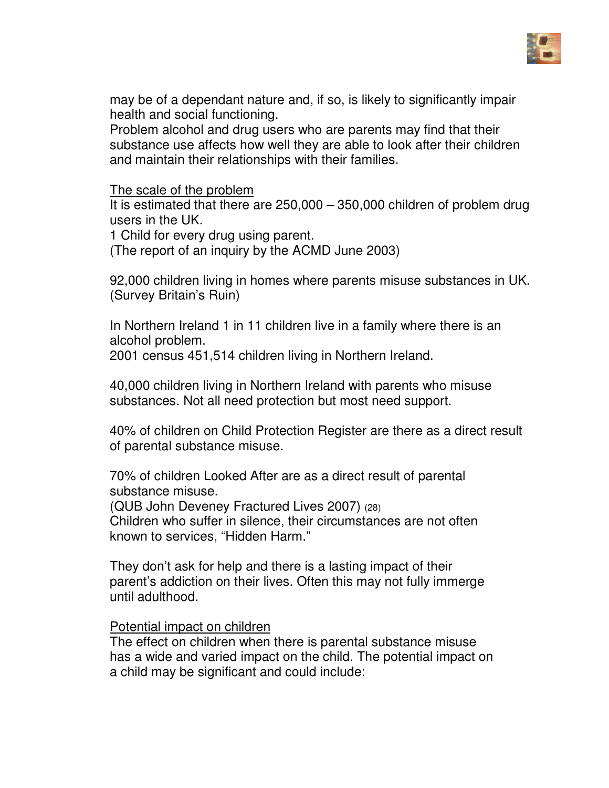

may be of a dependant nature and, if so, is likely to significantly impair health and social functioning.

Problem alcohol and drug users who are parents may find that their substance use affects how well they are able to look after their children and maintain their relationships with their families.

The scale of the problem

It is estimated that there are 250,000 – 350,000 children of problem drug users in the UK.

1 Child for every drug using parent.

(The report of an inquiry by the ACMD June 2003)

92,000 children living in homes where parents misuse substances in UK. (Survey Britain's Ruin)

In Northern Ireland 1 in 11 children live in a family where there is an alcohol problem. 2001 census 451,514 children living in Northern Ireland.

40,000 children living in Northern Ireland with parents who misuse substances. Not all need protection but most need support.

40% of children on Child Protection Register are there as a direct result of parental substance misuse.

70% of children Looked After are as a direct result of parental substance misuse.

(QUB John Deveney Fractured Lives 2007) (28)

Children who suffer in silence, their circumstances are not often known to services, "Hidden Harm."

They don't ask for help and there is a lasting impact of their parent's addiction on their lives. Often this may not fully immerge until adulthood.

#### Potential impact on children

The effect on children when there is parental substance misuse has a wide and varied impact on the child. The potential impact on a child may be significant and could include: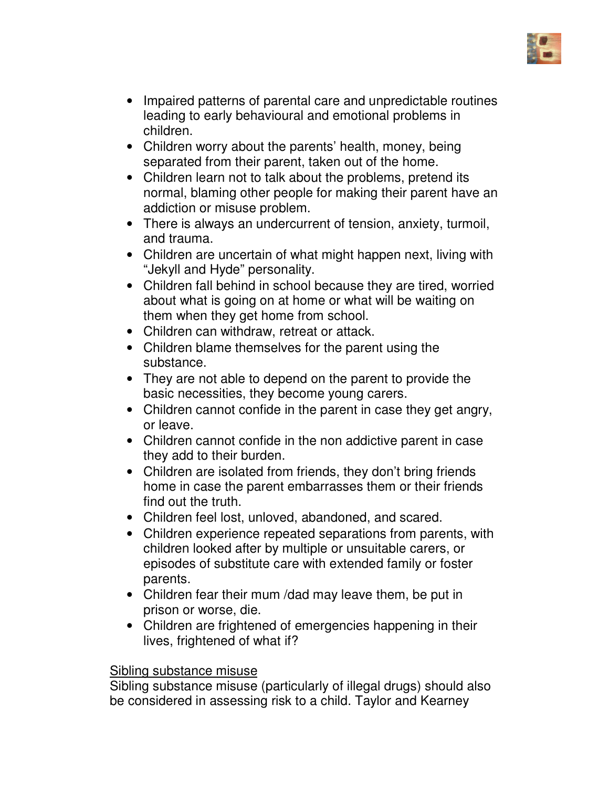

- Impaired patterns of parental care and unpredictable routines leading to early behavioural and emotional problems in children.
- Children worry about the parents' health, money, being separated from their parent, taken out of the home.
- Children learn not to talk about the problems, pretend its normal, blaming other people for making their parent have an addiction or misuse problem.
- There is always an undercurrent of tension, anxiety, turmoil, and trauma.
- Children are uncertain of what might happen next, living with "Jekyll and Hyde" personality.
- Children fall behind in school because they are tired, worried about what is going on at home or what will be waiting on them when they get home from school.
- Children can withdraw, retreat or attack.
- Children blame themselves for the parent using the substance.
- They are not able to depend on the parent to provide the basic necessities, they become young carers.
- Children cannot confide in the parent in case they get angry, or leave.
- Children cannot confide in the non addictive parent in case they add to their burden.
- Children are isolated from friends, they don't bring friends home in case the parent embarrasses them or their friends find out the truth.
- Children feel lost, unloved, abandoned, and scared.
- Children experience repeated separations from parents, with children looked after by multiple or unsuitable carers, or episodes of substitute care with extended family or foster parents.
- Children fear their mum /dad may leave them, be put in prison or worse, die.
- Children are frightened of emergencies happening in their lives, frightened of what if?

#### Sibling substance misuse

Sibling substance misuse (particularly of illegal drugs) should also be considered in assessing risk to a child. Taylor and Kearney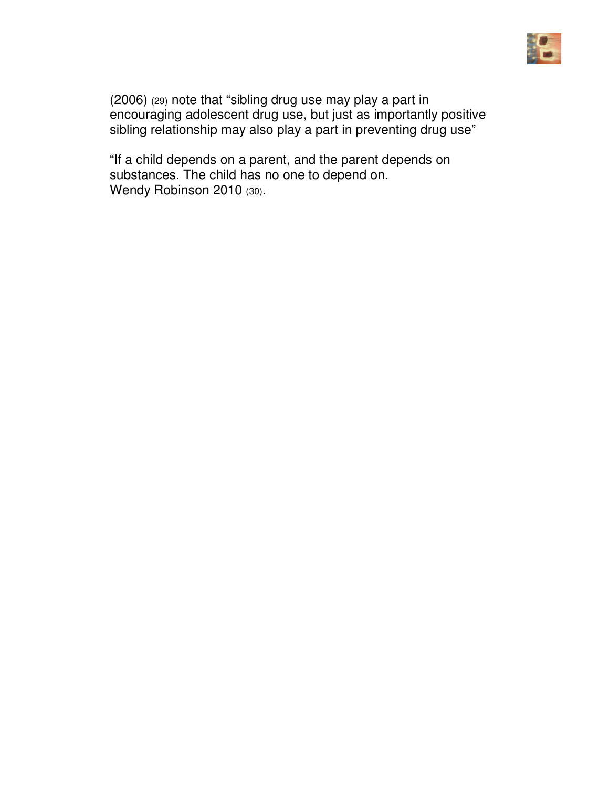

(2006) (29) note that "sibling drug use may play a part in encouraging adolescent drug use, but just as importantly positive sibling relationship may also play a part in preventing drug use"

"If a child depends on a parent, and the parent depends on substances. The child has no one to depend on. Wendy Robinson 2010 (30).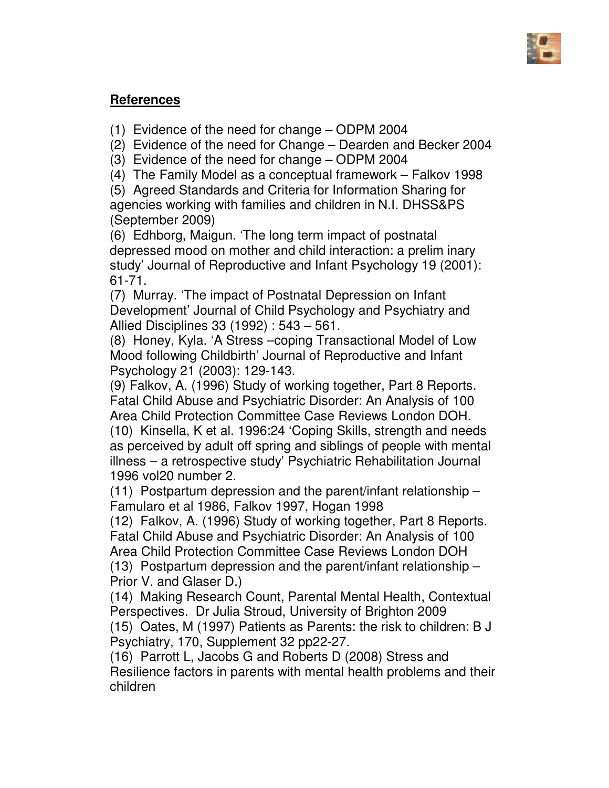

# **References**

(1) Evidence of the need for change – ODPM 2004

(2) Evidence of the need for Change – Dearden and Becker 2004

(3) Evidence of the need for change – ODPM 2004

(4) The Family Model as a conceptual framework – Falkov 1998

(5) Agreed Standards and Criteria for Information Sharing for agencies working with families and children in N.I. DHSS&PS (September 2009)

(6) Edhborg, Maigun. 'The long term impact of postnatal depressed mood on mother and child interaction: a prelim inary study' Journal of Reproductive and Infant Psychology 19 (2001): 61-71.

(7) Murray. 'The impact of Postnatal Depression on Infant Development' Journal of Child Psychology and Psychiatry and Allied Disciplines 33 (1992) : 543 – 561.

(8) Honey, Kyla. 'A Stress –coping Transactional Model of Low Mood following Childbirth' Journal of Reproductive and Infant Psychology 21 (2003): 129-143.

(9) Falkov, A. (1996) Study of working together, Part 8 Reports. Fatal Child Abuse and Psychiatric Disorder: An Analysis of 100 Area Child Protection Committee Case Reviews London DOH.

(10) Kinsella, K et al. 1996:24 'Coping Skills, strength and needs as perceived by adult off spring and siblings of people with mental illness – a retrospective study' Psychiatric Rehabilitation Journal 1996 vol20 number 2.

(11) Postpartum depression and the parent/infant relationship – Famularo et al 1986, Falkov 1997, Hogan 1998

(12) Falkov, A. (1996) Study of working together, Part 8 Reports. Fatal Child Abuse and Psychiatric Disorder: An Analysis of 100 Area Child Protection Committee Case Reviews London DOH

(13) Postpartum depression and the parent/infant relationship – Prior V. and Glaser D.)

(14) Making Research Count, Parental Mental Health, Contextual Perspectives. Dr Julia Stroud, University of Brighton 2009 (15) Oates, M (1997) Patients as Parents: the risk to children: B J Psychiatry, 170, Supplement 32 pp22-27.

(16) Parrott L, Jacobs G and Roberts D (2008) Stress and Resilience factors in parents with mental health problems and their children